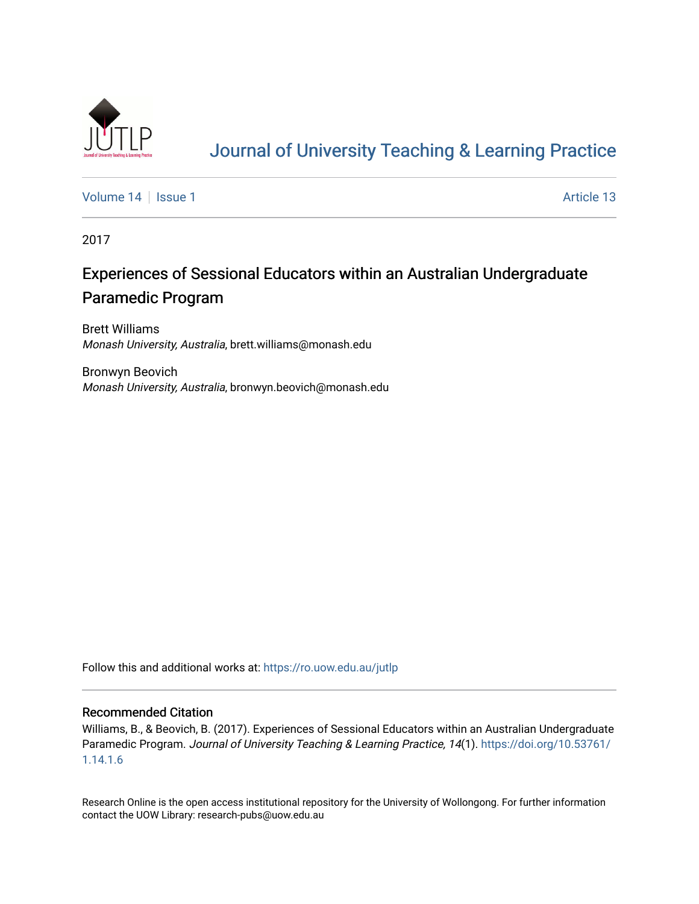

# [Journal of University Teaching & Learning Practice](https://ro.uow.edu.au/jutlp)

[Volume 14](https://ro.uow.edu.au/jutlp/vol14) | [Issue 1](https://ro.uow.edu.au/jutlp/vol14/iss1) Article 13

2017

## Experiences of Sessional Educators within an Australian Undergraduate Paramedic Program

Brett Williams Monash University, Australia, brett.williams@monash.edu

Bronwyn Beovich Monash University, Australia, bronwyn.beovich@monash.edu

Follow this and additional works at: [https://ro.uow.edu.au/jutlp](https://ro.uow.edu.au/jutlp?utm_source=ro.uow.edu.au%2Fjutlp%2Fvol14%2Fiss1%2F13&utm_medium=PDF&utm_campaign=PDFCoverPages) 

### Recommended Citation

Williams, B., & Beovich, B. (2017). Experiences of Sessional Educators within an Australian Undergraduate Paramedic Program. Journal of University Teaching & Learning Practice, 14(1). [https://doi.org/10.53761/](https://doi.org/10.53761/1.14.1.6) [1.14.1.6](https://doi.org/10.53761/1.14.1.6) 

Research Online is the open access institutional repository for the University of Wollongong. For further information contact the UOW Library: research-pubs@uow.edu.au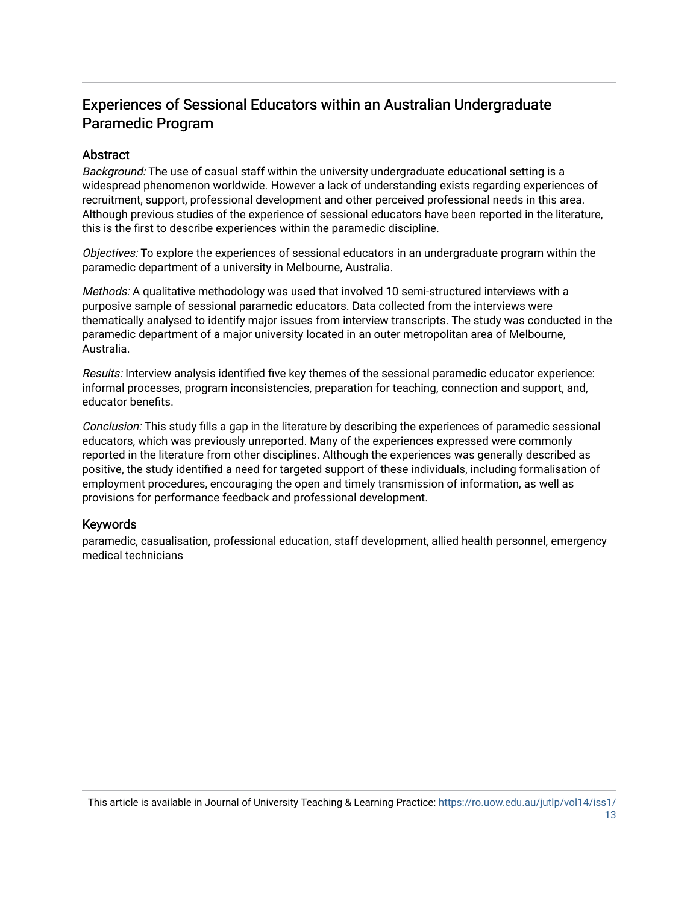## Experiences of Sessional Educators within an Australian Undergraduate Paramedic Program

## Abstract

Background: The use of casual staff within the university undergraduate educational setting is a widespread phenomenon worldwide. However a lack of understanding exists regarding experiences of recruitment, support, professional development and other perceived professional needs in this area. Although previous studies of the experience of sessional educators have been reported in the literature, this is the first to describe experiences within the paramedic discipline.

Objectives: To explore the experiences of sessional educators in an undergraduate program within the paramedic department of a university in Melbourne, Australia.

Methods: A qualitative methodology was used that involved 10 semi-structured interviews with a purposive sample of sessional paramedic educators. Data collected from the interviews were thematically analysed to identify major issues from interview transcripts. The study was conducted in the paramedic department of a major university located in an outer metropolitan area of Melbourne, Australia.

Results: Interview analysis identified five key themes of the sessional paramedic educator experience: informal processes, program inconsistencies, preparation for teaching, connection and support, and, educator benefits.

Conclusion: This study fills a gap in the literature by describing the experiences of paramedic sessional educators, which was previously unreported. Many of the experiences expressed were commonly reported in the literature from other disciplines. Although the experiences was generally described as positive, the study identified a need for targeted support of these individuals, including formalisation of employment procedures, encouraging the open and timely transmission of information, as well as provisions for performance feedback and professional development.

### Keywords

paramedic, casualisation, professional education, staff development, allied health personnel, emergency medical technicians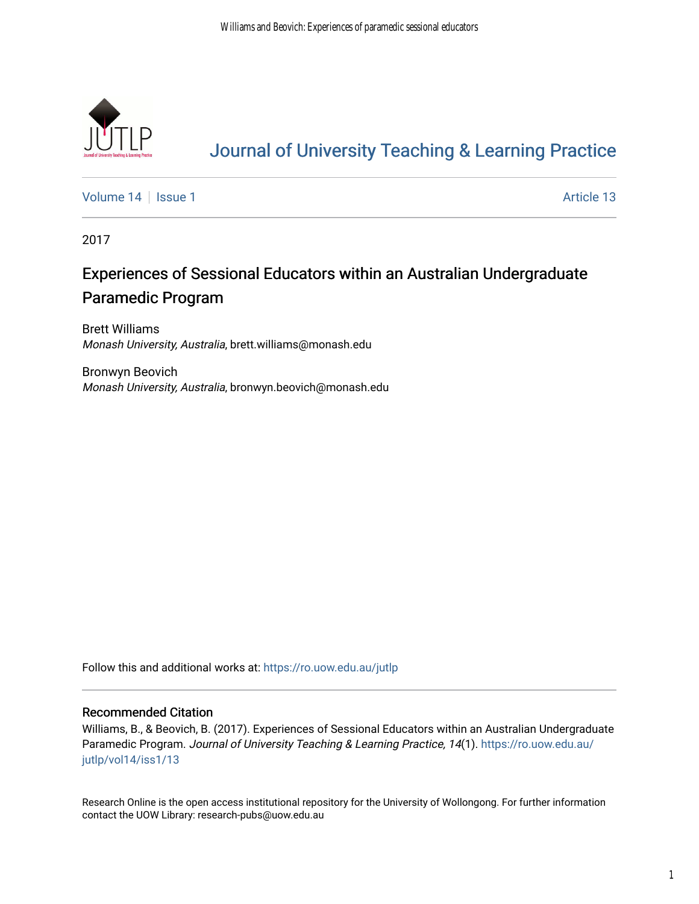

# [Journal of University Teaching & Learning Practice](https://ro.uow.edu.au/jutlp)

[Volume 14](https://ro.uow.edu.au/jutlp/vol14) | [Issue 1](https://ro.uow.edu.au/jutlp/vol14/iss1) Article 13

2017

## Experiences of Sessional Educators within an Australian Undergraduate Paramedic Program

Brett Williams Monash University, Australia, brett.williams@monash.edu

Bronwyn Beovich Monash University, Australia, bronwyn.beovich@monash.edu

Follow this and additional works at: [https://ro.uow.edu.au/jutlp](https://ro.uow.edu.au/jutlp?utm_source=ro.uow.edu.au%2Fjutlp%2Fvol14%2Fiss1%2F13&utm_medium=PDF&utm_campaign=PDFCoverPages) 

## Recommended Citation

Williams, B., & Beovich, B. (2017). Experiences of Sessional Educators within an Australian Undergraduate Paramedic Program. Journal of University Teaching & Learning Practice, 14(1). [https://ro.uow.edu.au/](https://ro.uow.edu.au/jutlp/vol14/iss1/13?utm_source=ro.uow.edu.au%2Fjutlp%2Fvol14%2Fiss1%2F13&utm_medium=PDF&utm_campaign=PDFCoverPages) [jutlp/vol14/iss1/13](https://ro.uow.edu.au/jutlp/vol14/iss1/13?utm_source=ro.uow.edu.au%2Fjutlp%2Fvol14%2Fiss1%2F13&utm_medium=PDF&utm_campaign=PDFCoverPages)

Research Online is the open access institutional repository for the University of Wollongong. For further information contact the UOW Library: research-pubs@uow.edu.au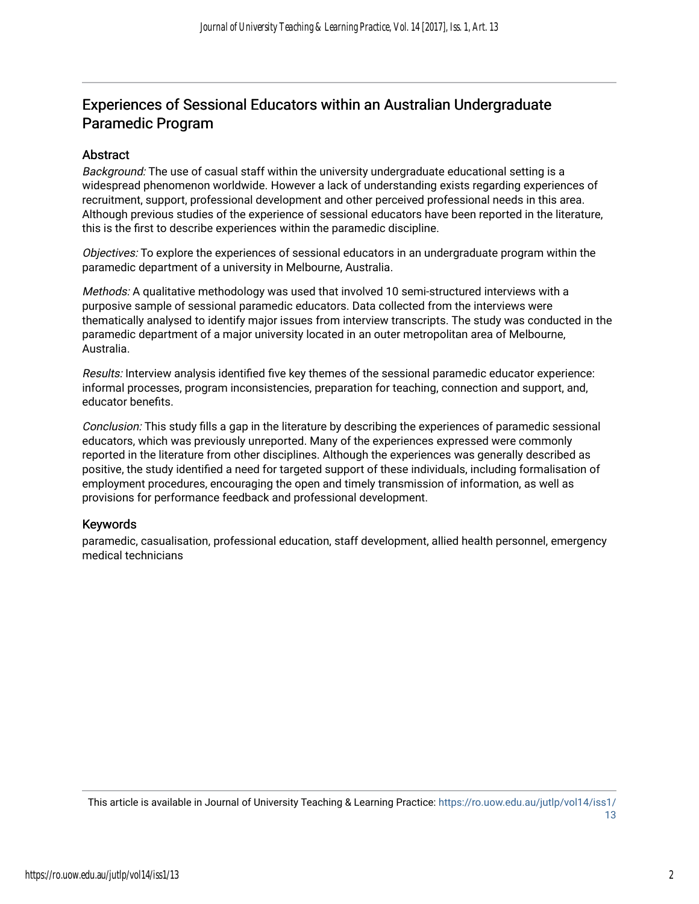## Experiences of Sessional Educators within an Australian Undergraduate Paramedic Program

## Abstract

Background: The use of casual staff within the university undergraduate educational setting is a widespread phenomenon worldwide. However a lack of understanding exists regarding experiences of recruitment, support, professional development and other perceived professional needs in this area. Although previous studies of the experience of sessional educators have been reported in the literature, this is the first to describe experiences within the paramedic discipline.

Objectives: To explore the experiences of sessional educators in an undergraduate program within the paramedic department of a university in Melbourne, Australia.

Methods: A qualitative methodology was used that involved 10 semi-structured interviews with a purposive sample of sessional paramedic educators. Data collected from the interviews were thematically analysed to identify major issues from interview transcripts. The study was conducted in the paramedic department of a major university located in an outer metropolitan area of Melbourne, Australia.

Results: Interview analysis identified five key themes of the sessional paramedic educator experience: informal processes, program inconsistencies, preparation for teaching, connection and support, and, educator benefits.

Conclusion: This study fills a gap in the literature by describing the experiences of paramedic sessional educators, which was previously unreported. Many of the experiences expressed were commonly reported in the literature from other disciplines. Although the experiences was generally described as positive, the study identified a need for targeted support of these individuals, including formalisation of employment procedures, encouraging the open and timely transmission of information, as well as provisions for performance feedback and professional development.

### Keywords

paramedic, casualisation, professional education, staff development, allied health personnel, emergency medical technicians

This article is available in Journal of University Teaching & Learning Practice: [https://ro.uow.edu.au/jutlp/vol14/iss1/](https://ro.uow.edu.au/jutlp/vol14/iss1/13) [13](https://ro.uow.edu.au/jutlp/vol14/iss1/13)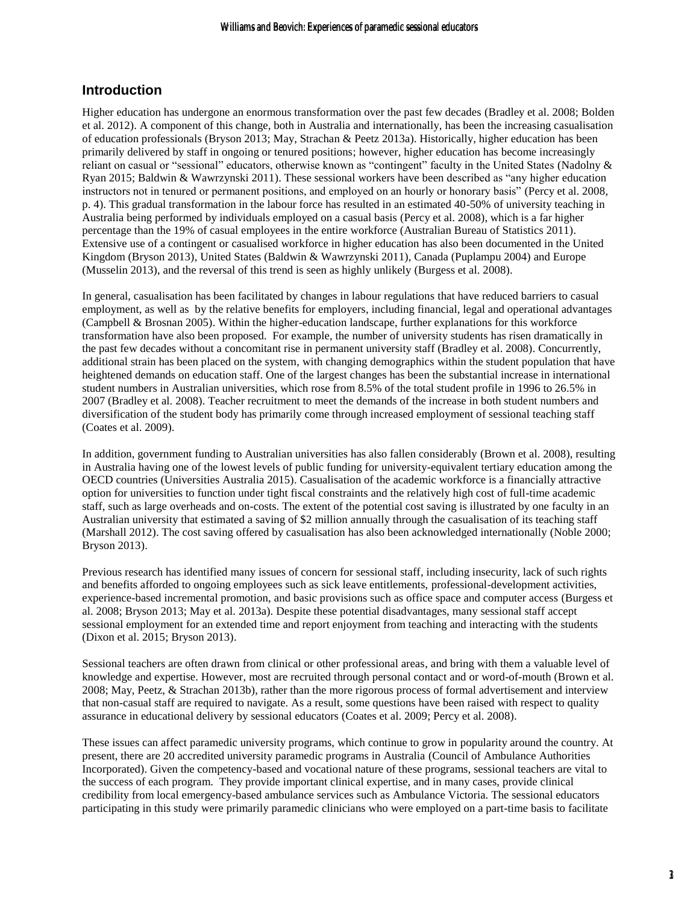## **Introduction**

Higher education has undergone an enormous transformation over the past few decades (Bradley et al. 2008; Bolden et al. 2012). A component of this change, both in Australia and internationally, has been the increasing casualisation of education professionals (Bryson 2013; May, Strachan & Peetz 2013a). Historically, higher education has been primarily delivered by staff in ongoing or tenured positions; however, higher education has become increasingly reliant on casual or "sessional" educators, otherwise known as "contingent" faculty in the United States (Nadolny & Ryan 2015; Baldwin & Wawrzynski 2011). These sessional workers have been described as "any higher education instructors not in tenured or permanent positions, and employed on an hourly or honorary basis" (Percy et al. 2008, p. 4). This gradual transformation in the labour force has resulted in an estimated 40-50% of university teaching in Australia being performed by individuals employed on a casual basis (Percy et al. 2008), which is a far higher percentage than the 19% of casual employees in the entire workforce (Australian Bureau of Statistics 2011). Extensive use of a contingent or casualised workforce in higher education has also been documented in the United Kingdom (Bryson 2013), United States (Baldwin & Wawrzynski 2011), Canada (Puplampu 2004) and Europe (Musselin 2013), and the reversal of this trend is seen as highly unlikely (Burgess et al. 2008).

In general, casualisation has been facilitated by changes in labour regulations that have reduced barriers to casual employment, as well as by the relative benefits for employers, including financial, legal and operational advantages (Campbell & Brosnan 2005). Within the higher-education landscape, further explanations for this workforce transformation have also been proposed. For example, the number of university students has risen dramatically in the past few decades without a concomitant rise in permanent university staff (Bradley et al. 2008). Concurrently, additional strain has been placed on the system, with changing demographics within the student population that have heightened demands on education staff. One of the largest changes has been the substantial increase in international student numbers in Australian universities, which rose from 8.5% of the total student profile in 1996 to 26.5% in 2007 (Bradley et al. 2008). Teacher recruitment to meet the demands of the increase in both student numbers and diversification of the student body has primarily come through increased employment of sessional teaching staff (Coates et al. 2009).

In addition, government funding to Australian universities has also fallen considerably (Brown et al. 2008), resulting in Australia having one of the lowest levels of public funding for university-equivalent tertiary education among the OECD countries (Universities Australia 2015). Casualisation of the academic workforce is a financially attractive option for universities to function under tight fiscal constraints and the relatively high cost of full-time academic staff, such as large overheads and on-costs. The extent of the potential cost saving is illustrated by one faculty in an Australian university that estimated a saving of \$2 million annually through the casualisation of its teaching staff (Marshall 2012). The cost saving offered by casualisation has also been acknowledged internationally (Noble 2000; Bryson 2013).

Previous research has identified many issues of concern for sessional staff, including insecurity, lack of such rights and benefits afforded to ongoing employees such as sick leave entitlements, professional-development activities, experience-based incremental promotion, and basic provisions such as office space and computer access (Burgess et al. 2008; Bryson 2013; May et al. 2013a). Despite these potential disadvantages, many sessional staff accept sessional employment for an extended time and report enjoyment from teaching and interacting with the students (Dixon et al. 2015; Bryson 2013).

Sessional teachers are often drawn from clinical or other professional areas, and bring with them a valuable level of knowledge and expertise. However, most are recruited through personal contact and or word-of-mouth (Brown et al. 2008; May, Peetz, & Strachan 2013b), rather than the more rigorous process of formal advertisement and interview that non-casual staff are required to navigate. As a result, some questions have been raised with respect to quality assurance in educational delivery by sessional educators (Coates et al. 2009; Percy et al. 2008).

These issues can affect paramedic university programs, which continue to grow in popularity around the country. At present, there are 20 accredited university paramedic programs in Australia (Council of Ambulance Authorities Incorporated). Given the competency-based and vocational nature of these programs, sessional teachers are vital to the success of each program. They provide important clinical expertise, and in many cases, provide clinical credibility from local emergency-based ambulance services such as Ambulance Victoria. The sessional educators participating in this study were primarily paramedic clinicians who were employed on a part-time basis to facilitate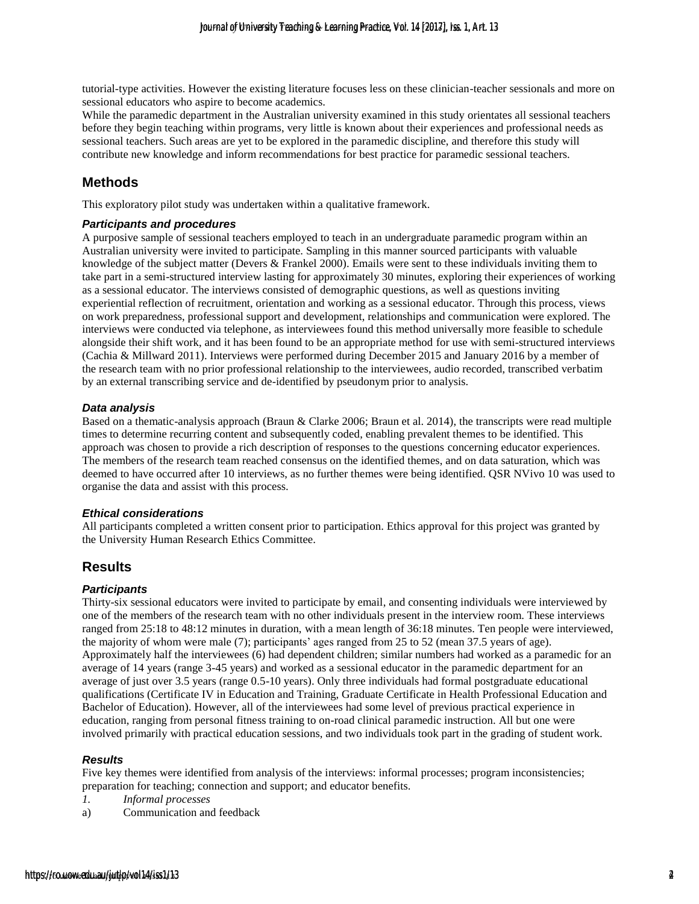tutorial-type activities. However the existing literature focuses less on these clinician-teacher sessionals and more on sessional educators who aspire to become academics.

While the paramedic department in the Australian university examined in this study orientates all sessional teachers before they begin teaching within programs, very little is known about their experiences and professional needs as sessional teachers. Such areas are yet to be explored in the paramedic discipline, and therefore this study will contribute new knowledge and inform recommendations for best practice for paramedic sessional teachers.

## **Methods**

This exploratory pilot study was undertaken within a qualitative framework.

#### *Participants and procedures*

A purposive sample of sessional teachers employed to teach in an undergraduate paramedic program within an Australian university were invited to participate. Sampling in this manner sourced participants with valuable knowledge of the subject matter (Devers & Frankel 2000). Emails were sent to these individuals inviting them to take part in a semi-structured interview lasting for approximately 30 minutes, exploring their experiences of working as a sessional educator. The interviews consisted of demographic questions, as well as questions inviting experiential reflection of recruitment, orientation and working as a sessional educator. Through this process, views on work preparedness, professional support and development, relationships and communication were explored. The interviews were conducted via telephone, as interviewees found this method universally more feasible to schedule alongside their shift work, and it has been found to be an appropriate method for use with semi-structured interviews (Cachia & Millward 2011). Interviews were performed during December 2015 and January 2016 by a member of the research team with no prior professional relationship to the interviewees, audio recorded, transcribed verbatim by an external transcribing service and de-identified by pseudonym prior to analysis.

#### *Data analysis*

Based on a thematic-analysis approach (Braun & Clarke 2006; Braun et al. 2014), the transcripts were read multiple times to determine recurring content and subsequently coded, enabling prevalent themes to be identified. This approach was chosen to provide a rich description of responses to the questions concerning educator experiences. The members of the research team reached consensus on the identified themes, and on data saturation, which was deemed to have occurred after 10 interviews, as no further themes were being identified. QSR NVivo 10 was used to organise the data and assist with this process.

#### *Ethical considerations*

All participants completed a written consent prior to participation. Ethics approval for this project was granted by the University Human Research Ethics Committee.

## **Results**

#### *Participants*

Thirty-six sessional educators were invited to participate by email, and consenting individuals were interviewed by one of the members of the research team with no other individuals present in the interview room. These interviews ranged from 25:18 to 48:12 minutes in duration, with a mean length of 36:18 minutes. Ten people were interviewed, the majority of whom were male (7); participants' ages ranged from 25 to 52 (mean 37.5 years of age). Approximately half the interviewees (6) had dependent children; similar numbers had worked as a paramedic for an average of 14 years (range 3-45 years) and worked as a sessional educator in the paramedic department for an average of just over 3.5 years (range 0.5-10 years). Only three individuals had formal postgraduate educational qualifications (Certificate IV in Education and Training, Graduate Certificate in Health Professional Education and Bachelor of Education). However, all of the interviewees had some level of previous practical experience in education, ranging from personal fitness training to on-road clinical paramedic instruction. All but one were involved primarily with practical education sessions, and two individuals took part in the grading of student work.

#### *Results*

Five key themes were identified from analysis of the interviews: informal processes; program inconsistencies; preparation for teaching; connection and support; and educator benefits.

- *1. Informal processes*
- a) Communication and feedback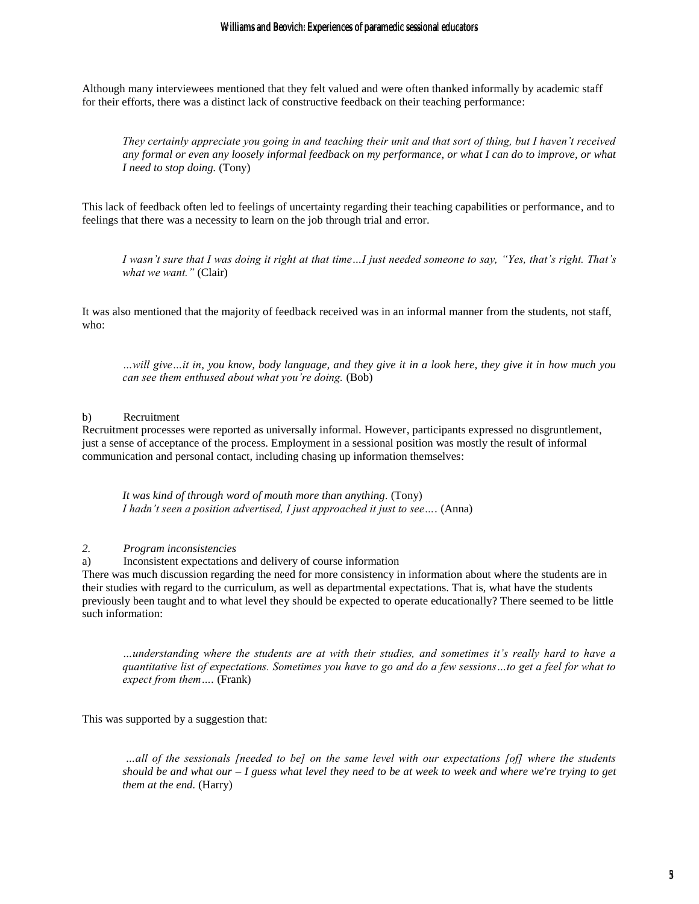Although many interviewees mentioned that they felt valued and were often thanked informally by academic staff for their efforts, there was a distinct lack of constructive feedback on their teaching performance:

*They certainly appreciate you going in and teaching their unit and that sort of thing, but I haven't received any formal or even any loosely informal feedback on my performance, or what I can do to improve, or what I need to stop doing.* (Tony)

This lack of feedback often led to feelings of uncertainty regarding their teaching capabilities or performance, and to feelings that there was a necessity to learn on the job through trial and error.

*I wasn't sure that I was doing it right at that time…I just needed someone to say, "Yes, that's right. That's what we want."* (Clair)

It was also mentioned that the majority of feedback received was in an informal manner from the students, not staff, who:

*…will give…it in, you know, body language, and they give it in a look here, they give it in how much you can see them enthused about what you're doing.* (Bob)

#### b) Recruitment

Recruitment processes were reported as universally informal. However, participants expressed no disgruntlement, just a sense of acceptance of the process. Employment in a sessional position was mostly the result of informal communication and personal contact, including chasing up information themselves:

*It was kind of through word of mouth more than anything.* (Tony) *I hadn't seen a position advertised, I just approached it just to see….* (Anna)

#### *2. Program inconsistencies*

a) Inconsistent expectations and delivery of course information

There was much discussion regarding the need for more consistency in information about where the students are in their studies with regard to the curriculum, as well as departmental expectations. That is, what have the students previously been taught and to what level they should be expected to operate educationally? There seemed to be little such information:

*…understanding where the students are at with their studies, and sometimes it's really hard to have a quantitative list of expectations. Sometimes you have to go and do a few sessions…to get a feel for what to expect from them….* (Frank)

This was supported by a suggestion that:

*…all of the sessionals [needed to be] on the same level with our expectations [of] where the students should be and what our – I guess what level they need to be at week to week and where we're trying to get them at the end.* (Harry)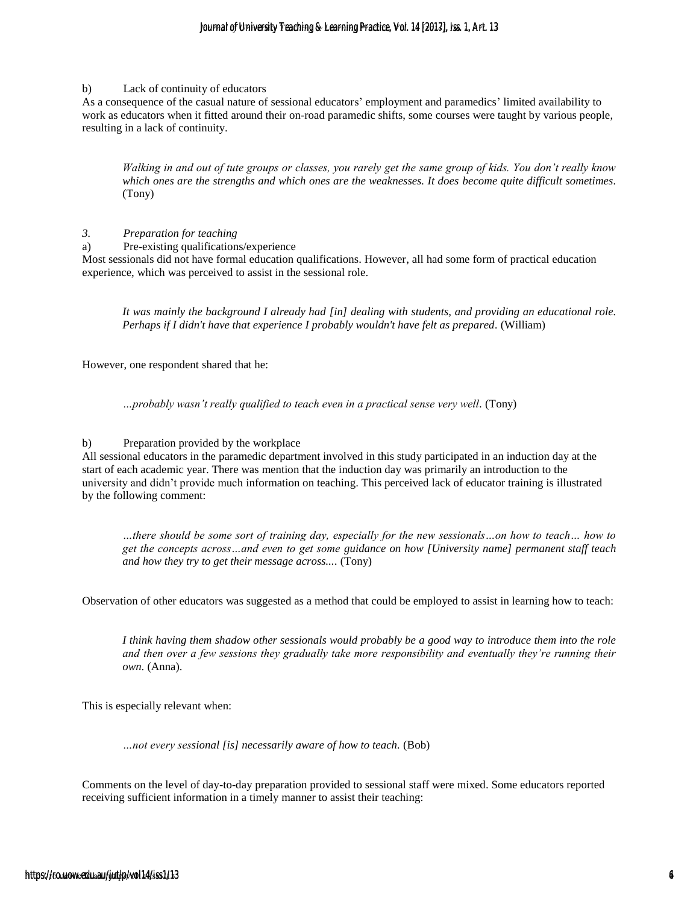b) Lack of continuity of educators

As a consequence of the casual nature of sessional educators' employment and paramedics' limited availability to work as educators when it fitted around their on-road paramedic shifts, some courses were taught by various people, resulting in a lack of continuity.

*Walking in and out of tute groups or classes, you rarely get the same group of kids. You don't really know which ones are the strengths and which ones are the weaknesses. It does become quite difficult sometimes.* (Tony)

- *3. Preparation for teaching*
- a) Pre-existing qualifications/experience

Most sessionals did not have formal education qualifications. However, all had some form of practical education experience, which was perceived to assist in the sessional role.

*It was mainly the background I already had [in] dealing with students, and providing an educational role. Perhaps if I didn't have that experience I probably wouldn't have felt as prepared.* (William)

However, one respondent shared that he:

*…probably wasn't really qualified to teach even in a practical sense very well.* (Tony)

#### b) Preparation provided by the workplace

All sessional educators in the paramedic department involved in this study participated in an induction day at the start of each academic year. There was mention that the induction day was primarily an introduction to the university and didn't provide much information on teaching. This perceived lack of educator training is illustrated by the following comment:

*…there should be some sort of training day, especially for the new sessionals…on how to teach… how to get the concepts across…and even to get some guidance on how [University name] permanent staff teach and how they try to get their message across....* (Tony)

Observation of other educators was suggested as a method that could be employed to assist in learning how to teach:

*I think having them shadow other sessionals would probably be a good way to introduce them into the role and then over a few sessions they gradually take more responsibility and eventually they're running their own.* (Anna).

This is especially relevant when:

*…not every sessional [is] necessarily aware of how to teach.* (Bob)

Comments on the level of day-to-day preparation provided to sessional staff were mixed. Some educators reported receiving sufficient information in a timely manner to assist their teaching: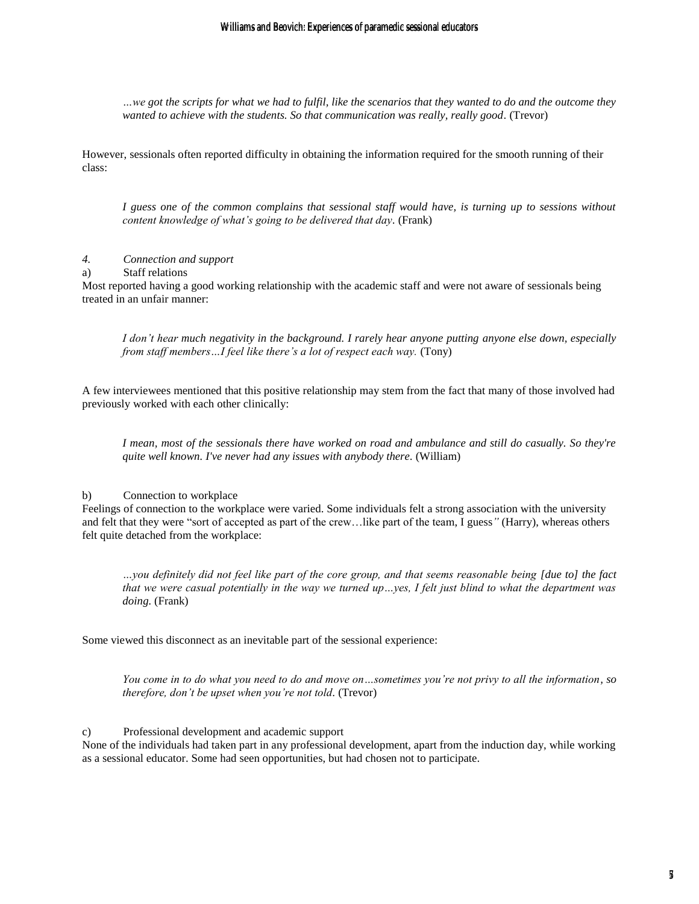*…we got the scripts for what we had to fulfil, like the scenarios that they wanted to do and the outcome they wanted to achieve with the students. So that communication was really, really good.* (Trevor)

However, sessionals often reported difficulty in obtaining the information required for the smooth running of their class:

*I guess one of the common complains that sessional staff would have, is turning up to sessions without content knowledge of what's going to be delivered that day.* (Frank)

- *4. Connection and support*
- a) Staff relations

Most reported having a good working relationship with the academic staff and were not aware of sessionals being treated in an unfair manner:

*I don't hear much negativity in the background. I rarely hear anyone putting anyone else down, especially from staff members…I feel like there's a lot of respect each way.* (Tony)

A few interviewees mentioned that this positive relationship may stem from the fact that many of those involved had previously worked with each other clinically:

*I mean, most of the sessionals there have worked on road and ambulance and still do casually. So they're quite well known. I've never had any issues with anybody there.* (William)

#### b) Connection to workplace

Feelings of connection to the workplace were varied. Some individuals felt a strong association with the university and felt that they were "sort of accepted as part of the crew…like part of the team, I guess*"* (Harry), whereas others felt quite detached from the workplace:

*…you definitely did not feel like part of the core group, and that seems reasonable being [due to] the fact that we were casual potentially in the way we turned up…yes, I felt just blind to what the department was doing.* (Frank)

Some viewed this disconnect as an inevitable part of the sessional experience:

*You come in to do what you need to do and move on…sometimes you're not privy to all the information, so therefore, don't be upset when you're not told.* (Trevor)

#### c) Professional development and academic support

None of the individuals had taken part in any professional development, apart from the induction day, while working as a sessional educator. Some had seen opportunities, but had chosen not to participate.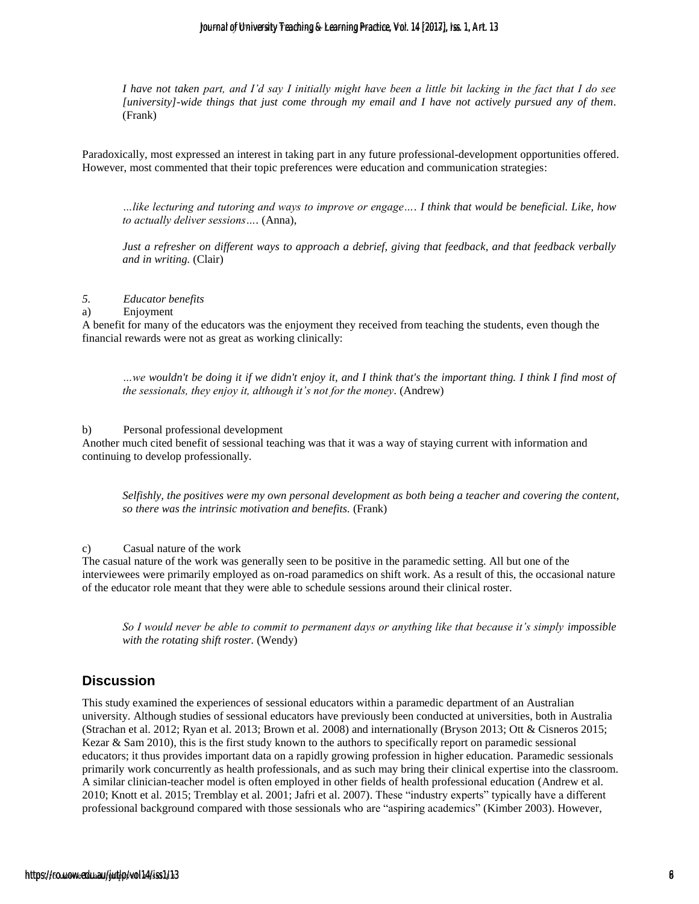#### Journal of University Teaching & Learning Practice, Vol. 14 [2017], Iss. 1, Art. 13

*I have not taken part, and I'd say I initially might have been a little bit lacking in the fact that I do see [university]-wide things that just come through my email and I have not actively pursued any of them.* (Frank)

Paradoxically, most expressed an interest in taking part in any future professional-development opportunities offered. However, most commented that their topic preferences were education and communication strategies:

*…like lecturing and tutoring and ways to improve or engage…. I think that would be beneficial. Like, how to actually deliver sessions….* (Anna),

*Just a refresher on different ways to approach a debrief, giving that feedback, and that feedback verbally and in writing.* (Clair)

*5. Educator benefits*

#### a) Enjoyment

A benefit for many of the educators was the enjoyment they received from teaching the students, even though the financial rewards were not as great as working clinically:

*…we wouldn't be doing it if we didn't enjoy it, and I think that's the important thing. I think I find most of the sessionals, they enjoy it, although it's not for the money.* (Andrew)

#### b) Personal professional development

Another much cited benefit of sessional teaching was that it was a way of staying current with information and continuing to develop professionally.

*Selfishly, the positives were my own personal development as both being a teacher and covering the content, so there was the intrinsic motivation and benefits.* (Frank)

#### c) Casual nature of the work

The casual nature of the work was generally seen to be positive in the paramedic setting. All but one of the interviewees were primarily employed as on-road paramedics on shift work. As a result of this, the occasional nature of the educator role meant that they were able to schedule sessions around their clinical roster.

*So I would never be able to commit to permanent days or anything like that because it's simply impossible with the rotating shift roster.* (Wendy)

## **Discussion**

This study examined the experiences of sessional educators within a paramedic department of an Australian university. Although studies of sessional educators have previously been conducted at universities, both in Australia (Strachan et al. 2012; Ryan et al. 2013; Brown et al. 2008) and internationally (Bryson 2013; Ott & Cisneros 2015; Kezar & Sam 2010), this is the first study known to the authors to specifically report on paramedic sessional educators; it thus provides important data on a rapidly growing profession in higher education. Paramedic sessionals primarily work concurrently as health professionals, and as such may bring their clinical expertise into the classroom. A similar clinician-teacher model is often employed in other fields of health professional education (Andrew et al. 2010; Knott et al. 2015; Tremblay et al. 2001; Jafri et al. 2007). These "industry experts" typically have a different professional background compared with those sessionals who are "aspiring academics" (Kimber 2003). However,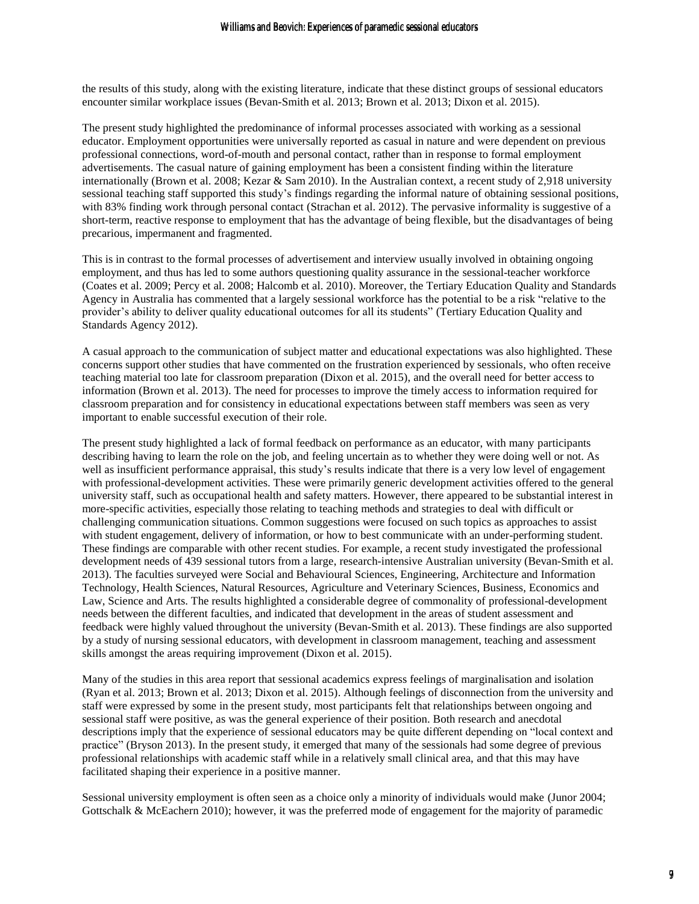the results of this study, along with the existing literature, indicate that these distinct groups of sessional educators encounter similar workplace issues (Bevan-Smith et al. 2013; Brown et al. 2013; Dixon et al. 2015).

The present study highlighted the predominance of informal processes associated with working as a sessional educator. Employment opportunities were universally reported as casual in nature and were dependent on previous professional connections, word-of-mouth and personal contact, rather than in response to formal employment advertisements. The casual nature of gaining employment has been a consistent finding within the literature internationally (Brown et al. 2008; Kezar & Sam 2010). In the Australian context, a recent study of 2,918 university sessional teaching staff supported this study's findings regarding the informal nature of obtaining sessional positions, with 83% finding work through personal contact (Strachan et al. 2012). The pervasive informality is suggestive of a short-term, reactive response to employment that has the advantage of being flexible, but the disadvantages of being precarious, impermanent and fragmented.

This is in contrast to the formal processes of advertisement and interview usually involved in obtaining ongoing employment, and thus has led to some authors questioning quality assurance in the sessional-teacher workforce (Coates et al. 2009; Percy et al. 2008; Halcomb et al. 2010). Moreover, the Tertiary Education Quality and Standards Agency in Australia has commented that a largely sessional workforce has the potential to be a risk "relative to the provider's ability to deliver quality educational outcomes for all its students" (Tertiary Education Quality and Standards Agency 2012).

A casual approach to the communication of subject matter and educational expectations was also highlighted. These concerns support other studies that have commented on the frustration experienced by sessionals, who often receive teaching material too late for classroom preparation (Dixon et al. 2015), and the overall need for better access to information (Brown et al. 2013). The need for processes to improve the timely access to information required for classroom preparation and for consistency in educational expectations between staff members was seen as very important to enable successful execution of their role.

The present study highlighted a lack of formal feedback on performance as an educator, with many participants describing having to learn the role on the job, and feeling uncertain as to whether they were doing well or not. As well as insufficient performance appraisal, this study's results indicate that there is a very low level of engagement with professional-development activities. These were primarily generic development activities offered to the general university staff, such as occupational health and safety matters. However, there appeared to be substantial interest in more-specific activities, especially those relating to teaching methods and strategies to deal with difficult or challenging communication situations. Common suggestions were focused on such topics as approaches to assist with student engagement, delivery of information, or how to best communicate with an under-performing student. These findings are comparable with other recent studies. For example, a recent study investigated the professional development needs of 439 sessional tutors from a large, research-intensive Australian university (Bevan-Smith et al. 2013). The faculties surveyed were Social and Behavioural Sciences, Engineering, Architecture and Information Technology, Health Sciences, Natural Resources, Agriculture and Veterinary Sciences, Business, Economics and Law, Science and Arts. The results highlighted a considerable degree of commonality of professional-development needs between the different faculties, and indicated that development in the areas of student assessment and feedback were highly valued throughout the university (Bevan-Smith et al. 2013). These findings are also supported by a study of nursing sessional educators, with development in classroom management, teaching and assessment skills amongst the areas requiring improvement (Dixon et al. 2015).

Many of the studies in this area report that sessional academics express feelings of marginalisation and isolation (Ryan et al. 2013; Brown et al. 2013; Dixon et al. 2015). Although feelings of disconnection from the university and staff were expressed by some in the present study, most participants felt that relationships between ongoing and sessional staff were positive, as was the general experience of their position. Both research and anecdotal descriptions imply that the experience of sessional educators may be quite different depending on "local context and practice" (Bryson 2013). In the present study, it emerged that many of the sessionals had some degree of previous professional relationships with academic staff while in a relatively small clinical area, and that this may have facilitated shaping their experience in a positive manner.

Sessional university employment is often seen as a choice only a minority of individuals would make (Junor 2004; Gottschalk & McEachern 2010); however, it was the preferred mode of engagement for the majority of paramedic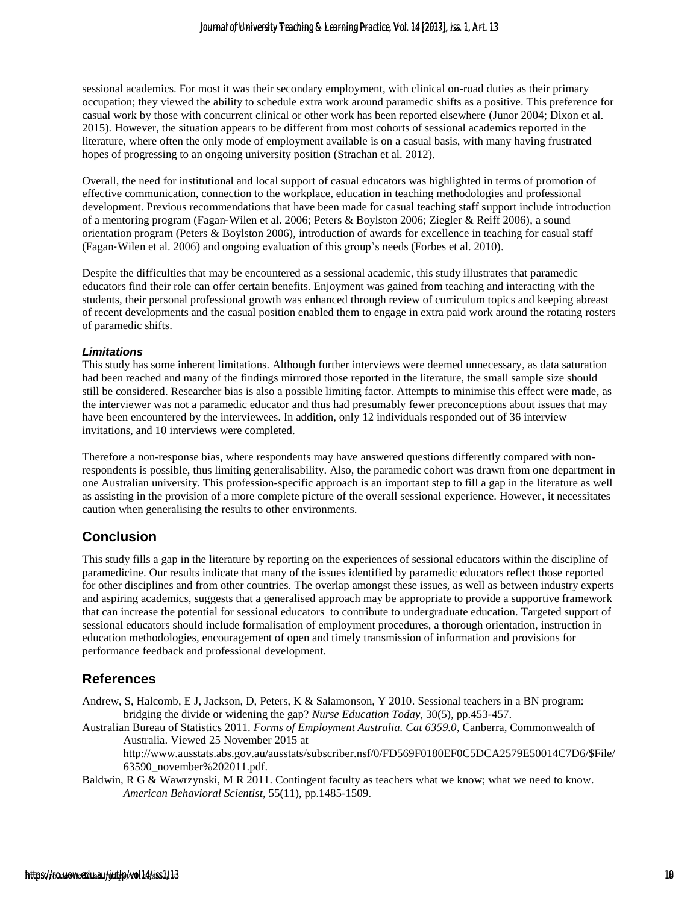sessional academics. For most it was their secondary employment, with clinical on-road duties as their primary occupation; they viewed the ability to schedule extra work around paramedic shifts as a positive. This preference for casual work by those with concurrent clinical or other work has been reported elsewhere (Junor 2004; Dixon et al. 2015). However, the situation appears to be different from most cohorts of sessional academics reported in the literature, where often the only mode of employment available is on a casual basis, with many having frustrated hopes of progressing to an ongoing university position (Strachan et al. 2012).

Overall, the need for institutional and local support of casual educators was highlighted in terms of promotion of effective communication, connection to the workplace, education in teaching methodologies and professional development. Previous recommendations that have been made for casual teaching staff support include introduction of a mentoring program (Fagan‐Wilen et al. 2006; Peters & Boylston 2006; Ziegler & Reiff 2006), a sound orientation program (Peters & Boylston 2006), introduction of awards for excellence in teaching for casual staff (Fagan‐Wilen et al. 2006) and ongoing evaluation of this group's needs (Forbes et al. 2010).

Despite the difficulties that may be encountered as a sessional academic, this study illustrates that paramedic educators find their role can offer certain benefits. Enjoyment was gained from teaching and interacting with the students, their personal professional growth was enhanced through review of curriculum topics and keeping abreast of recent developments and the casual position enabled them to engage in extra paid work around the rotating rosters of paramedic shifts.

#### *Limitations*

This study has some inherent limitations. Although further interviews were deemed unnecessary, as data saturation had been reached and many of the findings mirrored those reported in the literature, the small sample size should still be considered. Researcher bias is also a possible limiting factor. Attempts to minimise this effect were made, as the interviewer was not a paramedic educator and thus had presumably fewer preconceptions about issues that may have been encountered by the interviewees. In addition, only 12 individuals responded out of 36 interview invitations, and 10 interviews were completed.

Therefore a non-response bias, where respondents may have answered questions differently compared with nonrespondents is possible, thus limiting generalisability. Also, the paramedic cohort was drawn from one department in one Australian university. This profession-specific approach is an important step to fill a gap in the literature as well as assisting in the provision of a more complete picture of the overall sessional experience. However, it necessitates caution when generalising the results to other environments.

## **Conclusion**

This study fills a gap in the literature by reporting on the experiences of sessional educators within the discipline of paramedicine. Our results indicate that many of the issues identified by paramedic educators reflect those reported for other disciplines and from other countries. The overlap amongst these issues, as well as between industry experts and aspiring academics, suggests that a generalised approach may be appropriate to provide a supportive framework that can increase the potential for sessional educators to contribute to undergraduate education. Targeted support of sessional educators should include formalisation of employment procedures, a thorough orientation, instruction in education methodologies, encouragement of open and timely transmission of information and provisions for performance feedback and professional development.

## **References**

- Andrew, S, Halcomb, E J, Jackson, D, Peters, K & Salamonson, Y 2010. Sessional teachers in a BN program: bridging the divide or widening the gap? *Nurse Education Today,* 30(5), pp.453-457.
- Australian Bureau of Statistics 2011. *Forms of Employment Australia. Cat 6359.0*, Canberra, Commonwealth of Australia. Viewed 25 November 2015 at
	- http://www.ausstats.abs.gov.au/ausstats/subscriber.nsf/0/FD569F0180EF0C5DCA2579E50014C7D6/\$File/ 63590\_november%202011.pdf.
- Baldwin, R G & Wawrzynski, M R 2011. Contingent faculty as teachers what we know; what we need to know. *American Behavioral Scientist,* 55(11), pp.1485-1509.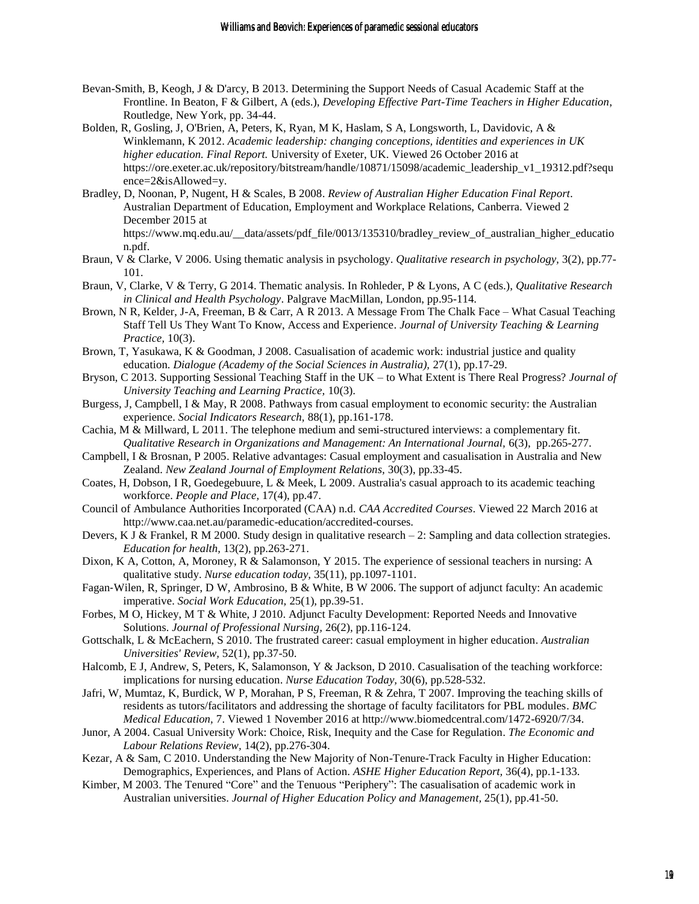- Bevan-Smith, B, Keogh, J & D'arcy, B 2013. Determining the Support Needs of Casual Academic Staff at the Frontline. In Beaton, F & Gilbert, A (eds.), *Developing Effective Part-Time Teachers in Higher Education*, Routledge, New York, pp. 34-44.
- Bolden, R, Gosling, J, O'Brien, A, Peters, K, Ryan, M K, Haslam, S A, Longsworth, L, Davidovic, A & Winklemann, K 2012. *Academic leadership: changing conceptions, identities and experiences in UK higher education. Final Report.* University of Exeter, UK. Viewed 26 October 2016 at https://ore.exeter.ac.uk/repository/bitstream/handle/10871/15098/academic\_leadership\_v1\_19312.pdf?sequ ence=2&isAllowed=y.
- Bradley, D, Noonan, P, Nugent, H & Scales, B 2008. *Review of Australian Higher Education Final Report*. Australian Department of Education, Employment and Workplace Relations, Canberra. Viewed 2 December 2015 at https://www.mq.edu.au/\_data/assets/pdf\_file/0013/135310/bradley\_review\_of\_australian\_higher\_educatio n.pdf.
- Braun, V & Clarke, V 2006. Using thematic analysis in psychology. *Qualitative research in psychology,* 3(2), pp.77- 101.
- Braun, V, Clarke, V & Terry, G 2014. Thematic analysis. In Rohleder, P & Lyons, A C (eds.), *Qualitative Research in Clinical and Health Psychology*. Palgrave MacMillan, London, pp.95-114.
- Brown, N R, Kelder, J-A, Freeman, B & Carr, A R 2013. A Message From The Chalk Face What Casual Teaching Staff Tell Us They Want To Know, Access and Experience. *Journal of University Teaching & Learning Practice,* 10(3).
- Brown, T, Yasukawa, K & Goodman, J 2008. Casualisation of academic work: industrial justice and quality education. *Dialogue (Academy of the Social Sciences in Australia),* 27(1), pp.17-29.
- Bryson, C 2013. Supporting Sessional Teaching Staff in the UK to What Extent is There Real Progress? *Journal of University Teaching and Learning Practice,* 10(3).
- Burgess, J, Campbell, I & May, R 2008. Pathways from casual employment to economic security: the Australian experience. *Social Indicators Research,* 88(1), pp.161-178.
- Cachia, M & Millward, L 2011. The telephone medium and semi-structured interviews: a complementary fit. *Qualitative Research in Organizations and Management: An International Journal,* 6(3), pp.265-277.
- Campbell, I & Brosnan, P 2005. Relative advantages: Casual employment and casualisation in Australia and New Zealand. *New Zealand Journal of Employment Relations,* 30(3), pp.33-45.
- Coates, H, Dobson, I R, Goedegebuure, L & Meek, L 2009. Australia's casual approach to its academic teaching workforce. *People and Place,* 17(4), pp.47.
- Council of Ambulance Authorities Incorporated (CAA) n.d. *CAA Accredited Courses*. Viewed 22 March 2016 at http://www.caa.net.au/paramedic-education/accredited-courses.
- Devers, K J & Frankel, R M 2000. Study design in qualitative research 2: Sampling and data collection strategies. *Education for health,* 13(2), pp.263-271.
- Dixon, K A, Cotton, A, Moroney, R & Salamonson, Y 2015. The experience of sessional teachers in nursing: A qualitative study. *Nurse education today,* 35(11), pp.1097-1101.
- Fagan‐Wilen, R, Springer, D W, Ambrosino, B & White, B W 2006. The support of adjunct faculty: An academic imperative. *Social Work Education,* 25(1), pp.39-51.
- Forbes, M O, Hickey, M T & White, J 2010. Adjunct Faculty Development: Reported Needs and Innovative Solutions. *Journal of Professional Nursing,* 26(2), pp.116-124.
- Gottschalk, L & McEachern, S 2010. The frustrated career: casual employment in higher education. *Australian Universities' Review,* 52(1), pp.37-50.
- Halcomb, E J, Andrew, S, Peters, K, Salamonson, Y & Jackson, D 2010. Casualisation of the teaching workforce: implications for nursing education. *Nurse Education Today,* 30(6), pp.528-532.
- Jafri, W, Mumtaz, K, Burdick, W P, Morahan, P S, Freeman, R & Zehra, T 2007. Improving the teaching skills of residents as tutors/facilitators and addressing the shortage of faculty facilitators for PBL modules. *BMC Medical Education,* 7. Viewed 1 November 2016 at http://www.biomedcentral.com/1472-6920/7/34.
- Junor, A 2004. Casual University Work: Choice, Risk, Inequity and the Case for Regulation. *The Economic and Labour Relations Review,* 14(2), pp.276-304.
- Kezar, A & Sam, C 2010. Understanding the New Majority of Non-Tenure-Track Faculty in Higher Education: Demographics, Experiences, and Plans of Action. *ASHE Higher Education Report,* 36(4), pp.1-133.
- Kimber, M 2003. The Tenured "Core" and the Tenuous "Periphery": The casualisation of academic work in Australian universities. *Journal of Higher Education Policy and Management,* 25(1), pp.41-50.